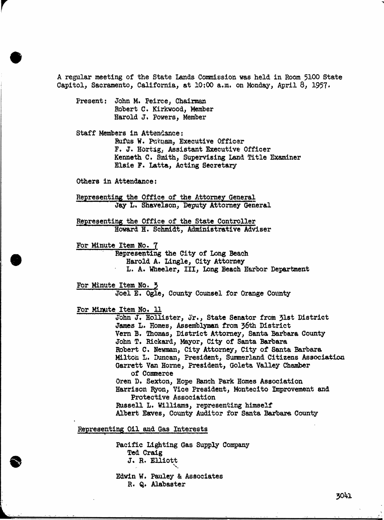A regular meeting of the State Lands Commission was held in Room 5100 State Capitol, Sacramento, California, at 10:00 a.m. on Monday, April 8, 1957.

Present: John M. Peirce, Chairman Robert C. Kirkwood, Member Harold J. Powers, Member

Staff Members in Attendance: Rufus W. Putnam, Executive Officer F. J. Hortig, Assistant Executive Officer Kenneth C. Smith, Supervising Land Title Examiner Elsie F. Latta, Acting Secretary

Others in Attendance:

Representing the Office of the Attorney General Jay L. Shavelson, Deputy Attorney General

Representing the Office of the State Controller Howard H. Schmidt, Administrative Adviser

For Minute Item No. 7<br>Representing the City of Long Beach

Harold A. Lingle, City Attorney L. A. Wheeler, III, Long Beach Harbor Department

For Minute Item No. 3 Joel E. Ogle, County Counsel for Orange County

For Minute Item No. 11

john J. Hollister, Jr., State Senator from 3ist District James L. Homes, Assemblyman from 36th District Vern B. Thomas, District Attorney, Santa Barbara County John T. Rickard, Mayor, City of Santa Barbara Robert C. Newman, City Attorney, City of Santa Barbara Milton L. Duncan, President, Summerland Citizens Association Garrett Van Horne, President, Goleta Valley Chamber of Commerce Oren D. Sexton, Hope Ranch Park Homes Association Harrison Ryon, Vice President, Montecito Improvement and Protective Association Russell L. Williams, representing himself Albert Eaves, County Auditor for Santa Barbara County

Representing Oil and Gas Interests

Pacific Lighting Gas Supply Company Ted Craig J. R. Elliott Edwin W. Pauley & Associates

R. Q. Alabaster